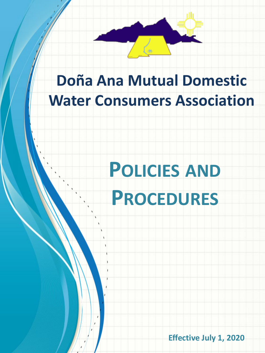

## **Doña Ana Mutual Domestic Water Consumers Association**

# **POLICIES AND PROCEDURES**

**Effective July 1, 2020**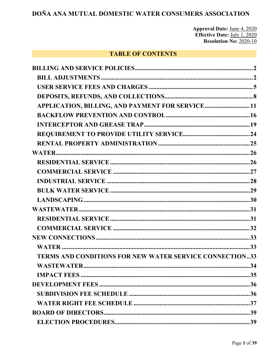**Approval Date:** June 4, 2020<br>**Effective Date:** July 1, 2020<br>**Resolution No:** 2020-10

## **TABLE OF CONTENTS**

| APPLICATION, BILLING, AND PAYMENT FOR SERVICE 11<br><b>TERMS AND CONDITIONS FOR NEW WATER SERVICE CONNECTION33</b> |  |
|--------------------------------------------------------------------------------------------------------------------|--|
|                                                                                                                    |  |
|                                                                                                                    |  |
|                                                                                                                    |  |
|                                                                                                                    |  |
|                                                                                                                    |  |
|                                                                                                                    |  |
|                                                                                                                    |  |
|                                                                                                                    |  |
|                                                                                                                    |  |
|                                                                                                                    |  |
|                                                                                                                    |  |
|                                                                                                                    |  |
|                                                                                                                    |  |
|                                                                                                                    |  |
|                                                                                                                    |  |
|                                                                                                                    |  |
|                                                                                                                    |  |
|                                                                                                                    |  |
|                                                                                                                    |  |
|                                                                                                                    |  |
|                                                                                                                    |  |
|                                                                                                                    |  |
|                                                                                                                    |  |
|                                                                                                                    |  |
|                                                                                                                    |  |
|                                                                                                                    |  |
|                                                                                                                    |  |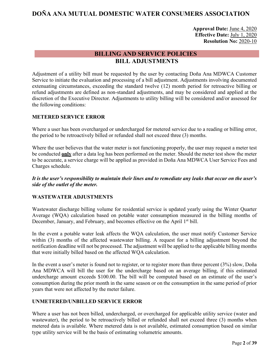**Approval Date:** June 4, 2020 **Effective Date:** July 1, 2020 **Resolution No:** 2020-10

## <span id="page-2-0"></span>**BILLING AND SERVICE POLICIES BILL ADJUSTMENTS**

<span id="page-2-1"></span>Adjustment of a utility bill must be requested by the user by contacting Doña Ana MDWCA Customer Service to initiate the evaluation and processing of a bill adjustment. Adjustments involving documented extenuating circumstances, exceeding the standard twelve (12) month period for retroactive billing or refund adjustments are defined as non-standard adjustments, and may be considered and applied at the discretion of the Executive Director. Adjustments to utility billing will be considered and/or assessed for the following conditions:

## **METERED SERVICE ERROR**

Where a user has been overcharged or undercharged for metered service due to a reading or billing error, the period to be retroactively billed or refunded shall not exceed three (3) months.

Where the user believes that the water meter is not functioning properly, the user may request a meter test be conducted **only** after a data log has been performed on the meter. Should the meter test show the meter to be accurate, a service charge will be applied as provided in Doña Ana MDWCA User Service Fees and Charges schedule.

*It is the user's responsibility to maintain their lines and to remediate any leaks that occur on the user's side of the outlet of the meter.*

## **WASTEWATER ADJUSTMENTS**

Wastewater discharge billing volume for residential service is updated yearly using the Winter Quarter Average (WQA) calculation based on potable water consumption measured in the billing months of December, January, and February, and becomes effective on the April 1<sup>st</sup> bill.

In the event a potable water leak affects the WQA calculation, the user must notify Customer Service within (3) months of the affected wastewater billing. A request for a billing adjustment beyond the notification deadline will not be processed. The adjustment will be applied to the applicable billing months that were initially billed based on the affected WQA calculation.

In the event a user's meter is found not to register, or to register more than three percent (3%) slow, Doña Ana MDWCA will bill the user for the undercharge based on an average billing, if this estimated undercharge amount exceeds \$100.00. The bill will be computed based on an estimate of the user's consumption during the prior month in the same season or on the consumption in the same period of prior years that were not affected by the meter failure.

## **UNMETERED/UNBILLED SERVICE ERROR**

Where a user has not been billed, undercharged, or overcharged for applicable utility service (water and wastewater), the period to be retroactively billed or refunded shall not exceed three (3) months when metered data is available. Where metered data is not available, estimated consumption based on similar type utility service will be the basis of estimating volumetric amounts.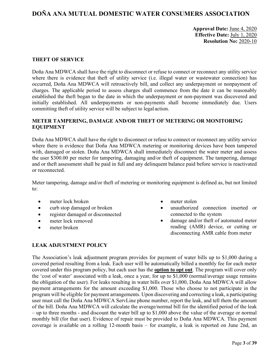## **Approval Date:** June 4, 2020 **Effective Date:** July 1, 2020 **Resolution No:** 2020-10

#### **THEFT OF SERVICE**

Doña Ana MDWCA shall have the right to disconnect or refuse to connect or reconnect any utility service where there is evidence that theft of utility service (i.e. illegal water or wastewater connection) has occurred, Doña Ana MDWCA will retroactively bill, and collect any underpayment or nonpayment of charges. The applicable period to assess charges shall commence from the date it can be reasonably established the theft began to the date in which the underpayment or non-payment was discovered and initially established. All underpayments or non-payments shall become immediately due. Users committing theft of utility service will be subject to legal action.

#### **METER TAMPERING, DAMAGE AND/OR THEFT OF METERING OR MONITORING EQUIPMENT**

Doña Ana MDWCA shall have the right to disconnect or refuse to connect or reconnect any utility service where there is evidence that Doña Ana MDWCA metering or monitoring devices have been tampered with, damaged or stolen. Doña Ana MDWCA shall immediately disconnect the water meter and assess the user \$300.00 per meter for tampering, damaging and/or theft of equipment. The tampering, damage and or theft assessment shall be paid in full and any delinquent balance paid before service is reactivated or reconnected.

Meter tampering, damage and/or theft of metering or monitoring equipment is defined as, but not limited to:

- meter lock broken
- curb stop damaged or broken
- register damaged or disconnected
- meter lock removed
- meter broken
- meter stolen
- unauthorized connection inserted or connected to the system
- damage and/or theft of automated meter reading (AMR) device, or cutting or disconnecting AMR cable from meter

#### **LEAK ADJUSTMENT POLICY**

The Association's leak adjustment program provides for payment of water bills up to \$1,000 during a covered period resulting from a leak. Each user will be automatically billed a monthly fee for each meter covered under this program policy, but each user has the **option to opt out**. The program will cover only the 'cost of water' associated with a leak, once a year, for up to \$1,000 (normal/average usage remains the obligation of the user). For leaks resulting in water bills over \$1,000, Doña Ana MDWCA will allow payment arrangements for the amount exceeding \$1,000. Those who choose to not participate in the program will be eligible for payment arrangements. Upon discovering and correcting a leak, a participating user must call the Doña Ana MDWCA ServLine phone number, report the leak, and tell them the amount of the bill. Doña Ana MDWCA will calculate the average/normal bill for the identified period of the leak – up to three months - and discount the water bill up to \$1,000 above the value of the average or normal monthly bill (for that user). Evidence of repair must be provided to Doña Ana MDWCA. This payment coverage is available on a rolling 12-month basis – for example, a leak is reported on June 2nd, an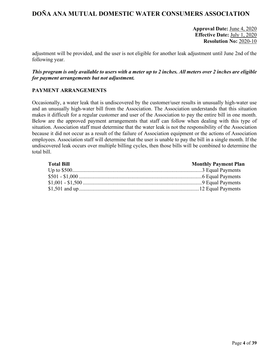**Approval Date:** June 4, 2020 **Effective Date:** July 1, 2020 **Resolution No:** 2020-10

adjustment will be provided, and the user is not eligible for another leak adjustment until June 2nd of the following year.

## *This program is only available to users with a meter up to 2 inches. All meters over 2 inches are eligible for payment arrangements but not adjustment.*

#### **PAYMENT ARRANGEMENTS**

Occasionally, a water leak that is undiscovered by the customer/user results in unusually high-water use and an unusually high-water bill from the Association. The Association understands that this situation makes it difficult for a regular customer and user of the Association to pay the entire bill in one month. Below are the approved payment arrangements that staff can follow when dealing with this type of situation. Association staff must determine that the water leak is not the responsibility of the Association because it did not occur as a result of the failure of Association equipment or the actions of Association employees. Association staff will determine that the user is unable to pay the bill in a single month. If the undiscovered leak occurs over multiple billing cycles, then those bills will be combined to determine the total bill.

| <b>Total Bill</b> | <b>Monthly Payment Plan</b> |
|-------------------|-----------------------------|
|                   |                             |
|                   |                             |
|                   |                             |
|                   |                             |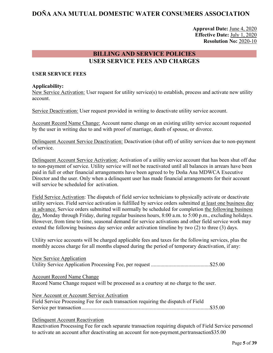**Approval Date:** June 4, 2020 **Effective Date:** July 1, 2020 **Resolution No:** 2020-10

## **BILLING AND SERVICE POLICIES USER SERVICE FEES AND CHARGES**

#### <span id="page-5-0"></span>**USER SERVICE FEES**

#### **Applicability:**

New Service Activation: User request for utility service(s) to establish, process and activate new utility account.

Service Deactivation: User request provided in writing to deactivate utility service account.

Account Record Name Change: Account name change on an existing utility service account requested by the user in writing due to and with proof of marriage, death of spouse, or divorce.

Delinquent Account Service Deactivation: Deactivation (shut off) of utility services due to non-payment ofservice.

Delinquent Account Service Activation: Activation of a utility service account that has been shut off due to non-payment of service. Utility service will not be reactivated until all balances in arrears have been paid in full or other financial arrangements have been agreed to by Doña Ana MDWCA Executive Director and the user. Only when a delinquent user has made financial arrangements for their account will service be scheduled for activation.

Field Service Activation: The dispatch of field service technicians to physically activate or deactivate utility services. Field service activation is fulfilled by service orders submitted at least one business day in advance. Service orders submitted will normally be scheduled for completion the following business day, Monday through Friday, during regular business hours, 8:00 a.m. to 5:00 p.m., excluding holidays. However, from time to time, seasonal demand for service activations and other field service work may extend the following business day service order activation timeline by two (2) to three (3) days.

Utility service accounts will be charged applicable fees and taxes for the following services, plus the monthly access charge for all months elapsed during the period of temporary deactivation, if any:

| New Service Application                                                              |
|--------------------------------------------------------------------------------------|
|                                                                                      |
| <b>Account Record Name Change</b>                                                    |
| Record Name Change request will be processed as a courtesy at no charge to the user. |
| New Account or Account Service Activation                                            |
| Field Service Processing Fee for each transaction requiring the dispatch of Field    |
|                                                                                      |

#### Delinquent Account Reactivation

Reactivation Processing Fee for each separate transaction requiring dispatch of Field Service personnel to activate an account after deactivating an account for non-payment,pertransaction\$35.00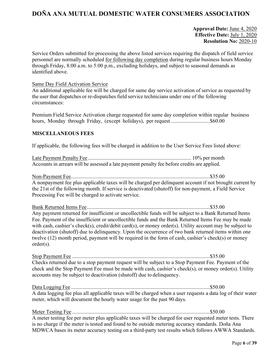## **Approval Date:** June 4, 2020 **Effective Date:** July 1, 2020 **Resolution No:** 2020-10

Service Orders submitted for processing the above listed services requiring the dispatch of field service personnel are normally scheduled for following day completion during regular business hours Monday through Friday, 8:00 a.m. to 5:00 p.m., excluding holidays, and subject to seasonal demands as identified above.

#### Same Day Field Activation Service

An additional applicable fee will be charged for same day service activation of service as requested by the user that dispatches or re-dispatches field service technicians under one of the following circumstances:

Premium Field Service Activation charge requested for same day completion within regular business hours, Monday through Friday, (except holidays), per request .............................\$60.00

#### **MISCELLANEOUS FEES**

If applicable, the following fees will be charged in addition to the User Service Fees listed above:

Late Payment Penalty Fee ............................................................................. 10% per month Accounts in arrears will be assessed a late payment penalty fee before credits are applied.

Non-Payment Fee........................................................................................................\$35.00 A nonpayment fee plus applicable taxes will be charged per delinquent account if not brought current by the 21st of the following month. If service is deactivated (shutoff) for non-payment, a Field Service Processing Fee will be charged to activate service.

Bank Returned Items Fee............................................................................................\$35.00 Any payment returned for insufficient or uncollectible funds will be subject to a Bank Returned Items Fee. Payment of the insufficient or uncollectible funds and the Bank Returned Items Fee may be made with cash, cashier's check(s), credit/debit card(s), or money order(s). Utility account may be subject to deactivation (shutoff) due to delinquency. Upon the occurrence of two bank returned items within one twelve (12) month period, payment will be required in the form of cash, cashier's check(s) or money order(s).

Stop Payment Fee .......................................................................................................\$35.00 Checks returned due to a stop payment request will be subject to a Stop Payment Fee. Payment of the check and the Stop Payment Fee must be made with cash, cashier's check(s), or money order(s). Utility accounts may be subject to deactivation (shutoff) due to delinquency.

Data Logging Fee ........................................................................................................\$50.00 A data logging fee plus all applicable taxes will be charged when a user requests a data log of their water meter, which will document the hourly water usage for the past 90 days.

Meter Testing Fee .......................................................................................................\$50.00 A meter testing fee per meter plus applicable taxes will be charged for user requested meter tests. There is no charge if the meter is tested and found to be outside metering accuracy standards. Doña Ana MDWCA bases its meter accuracy testing on a third-party test results which follows AWWA Standards.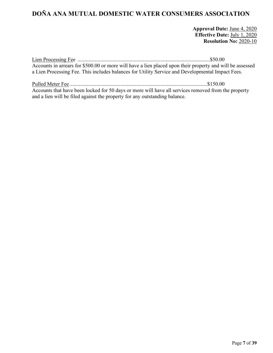**Approval Date:** June 4, 2020 **Effective Date:** July 1, 2020 **Resolution No:** 2020-10

Lien Processing Fee ...................................................................................................\$50.00 Accounts in arrears for \$500.00 or more will have a lien placed upon their property and will be assessed a Lien Processing Fee. This includes balances for Utility Service and Developmental Impact Fees.

Pulled Meter Fee .......................................................................................................\$150.00 Accounts that have been locked for 50 days or more will have all services removed from the property and a lien will be filed against the property for any outstanding balance.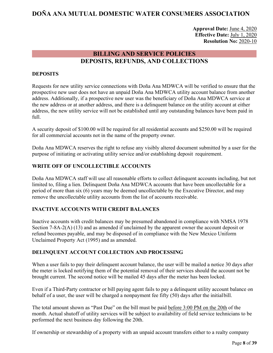**Approval Date:** June 4, 2020 **Effective Date:** July 1, 2020 **Resolution No:** 2020-10

## **BILLING AND SERVICE POLICIES DEPOSITS, REFUNDS, AND COLLECTIONS**

## <span id="page-8-0"></span>**DEPOSITS**

Requests for new utility service connections with Doña Ana MDWCA will be verified to ensure that the prospective new user does not have an unpaid Doña Ana MDWCA utility account balance from another address. Additionally, if a prospective new user was the beneficiary of Doña Ana MDWCA service at the new address or at another address, and there is a delinquent balance on the utility account at either address, the new utility service will not be established until any outstanding balances have been paid in full.

A security deposit of \$100.00 will be required for all residential accounts and \$250.00 will be required for all commercial accounts not in the name of the property owner.

Doña Ana MDWCA reserves the right to refuse any visibly altered document submitted by a user for the purpose of initiating or activating utility service and/or establishing deposit requirement.

## **WRITE OFF OF UNCOLLECTIBLE ACCOUNTS**

Doña Ana MDWCA staff will use all reasonable efforts to collect delinquent accounts including, but not limited to, filing a lien. Delinquent Doña Ana MDWCA accounts that have been uncollectable for a period of more than six (6) years may be deemed uncollectable by the Executive Director, and may remove the uncollectable utility accounts from the list of accounts receivable.

#### **INACTIVE ACCOUNTS WITH CREDIT BALANCES**

Inactive accounts with credit balances may be presumed abandoned in compliance with NMSA 1978 Section 7-8A-2(A) (13) and as amended if unclaimed by the apparent owner the account deposit or refund becomes payable, and may be disposed of in compliance with the New Mexico Uniform Unclaimed Property Act (1995) and as amended.

#### **DELINQUENT ACCOUNT COLLECTION AND PROCESSING**

When a user fails to pay their delinquent account balance, the user will be mailed a notice 30 days after the meter is locked notifying them of the potential removal of their services should the account not be brought current. The second notice will be mailed 45 days after the meter has been locked.

Even if a Third-Party contractor or bill paying agent fails to pay a delinquent utility account balance on behalf of a user, the user will be charged a nonpayment fee fifty (50) days after the initialbill.

The total amount shown as "Past Due" on the bill must be paid before 3:00 PM on the 20th of the month. Actual shutoff of utility services will be subject to availability of field service technicians to be performed the next business day following the 20th.

If ownership or stewardship of a property with an unpaid account transfers either to a realty company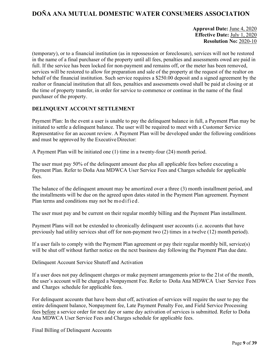## **Approval Date:** June 4, 2020 **Effective Date:** July 1, 2020 **Resolution No:** 2020-10

(temporary), or to a financial institution (as in repossession or foreclosure), services will not be restored in the name of a final purchaser of the property until all fees, penalties and assessments owed are paid in full. If the service has been locked for non-payment and remains off, or the meter has been removed, services will be restored to allow for preparation and sale of the property at the request of the realtor on behalf of the financial institution. Such service requires a \$250.00 deposit and a signed agreement by the realtor or financial institution that all fees, penalties and assessments owed shall be paid at closing or at the time of property transfer, in order for service to commence or continue in the name of the final purchaser of the property.

## **DELINQUENT ACCOUNT SETTLEMENT**

Payment Plan: In the event a user is unable to pay the delinquent balance in full, a Payment Plan may be initiated to settle a delinquent balance. The user will be required to meet with a Customer Service Representative for an account review. A Payment Plan will be developed under the following conditions and must be approved by the Executive Director:

A Payment Plan will be initiated one (1) time in a twenty-four (24) month period.

The user must pay 50% of the delinquent amount due plus all applicable fees before executing a Payment Plan. Refer to Doña Ana MDWCA User Service Fees and Charges schedule for applicable fees.

The balance of the delinquent amount may be amortized over a three (3) month installment period, and the installments will be due on the agreed upon dates stated in the Payment Plan agreement. Payment Plan terms and conditions may not be modified.

The user must pay and be current on their regular monthly billing and the Payment Plan installment.

Payment Plans will not be extended to chronically delinquent user accounts (i.e. accounts that have previously had utility services shut off for non-payment two (2) times in a twelve (12) month period).

If a user fails to comply with the Payment Plan agreement or pay their regular monthly bill, service(s) will be shut off without further notice on the next business day following the Payment Plan due date.

Delinquent Account Service Shutoff and Activation

If a user does not pay delinquent charges or make payment arrangements prior to the 21st of the month, the user's account will be charged a Nonpayment Fee. Refer to Doña Ana MDWCA User Service Fees and Charges schedule for applicable fees.

For delinquent accounts that have been shut off, activation of services will require the user to pay the entire delinquent balance, Nonpayment fee, Late Payment Penalty Fee, and Field Service Processing fees before a service order for next day or same day activation of services is submitted. Refer to Doña Ana MDWCA User Service Fees and Charges schedule for applicable fees.

Final Billing of Delinquent Accounts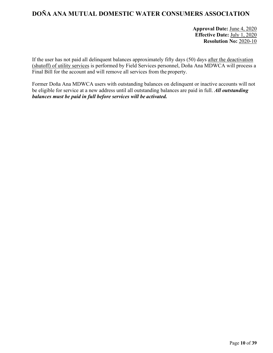**Approval Date:** June 4, 2020 **Effective Date:** July 1, 2020 **Resolution No:** 2020-10

If the user has not paid all delinquent balances approximately fifty days (50) days after the deactivation (shutoff) of utility services is performed by Field Services personnel, Doña Ana MDWCA will process a Final Bill for the account and will remove all services from the property.

Former Doña Ana MDWCA users with outstanding balances on delinquent or inactive accounts will not be eligible for service at a new address until all outstanding balances are paid in full. *All outstanding balances must be paid in full before services will be activated.*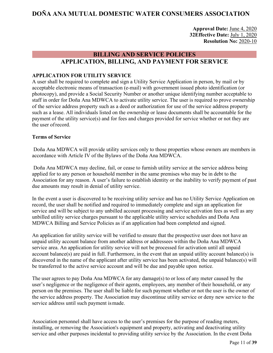**Approval Date:** June 4, 2020 **32Effective Date:** July 1, 2020 **Resolution No:** 2020-10

## **BILLING AND SERVICE POLICIES APPLICATION, BILLING, AND PAYMENT FOR SERVICE**

#### <span id="page-11-0"></span>**APPLICATION FOR UTILITY SERVICE**

A user shall be required to complete and sign a Utility Service Application in person, by mail or by acceptable electronic means of transaction (e-mail) with government issued photo identification (or photocopy), and provide a Social Security Number or another unique identifying number acceptable to staff in order for Doña Ana MDWCA to activate utility service. The user is required to prove ownership of the service address property such as a deed or authorization for use of the service address property such as a lease. All individuals listed on the ownership or lease documents shall be accountable for the payment of the utility service(s) and for fees and charges provided for service whether or not they are the user ofrecord.

#### **Terms of Service**

Doña Ana MDWCA will provide utility services only to those properties whose owners are members in accordance with Article IV of the Bylaws of the Doña Ana MDWCA.

Doña Ana MDWCA may decline, fail, or cease to furnish utility service at the service address being applied for to any person or household member in the same premises who may be in debt to the Association for any reason. A user's failure to establish identity or the inability to verify payment of past due amounts may result in denial of utility service.

In the event a user is discovered to be receiving utility service and has no Utility Service Application on record, the user shall be notified and required to immediately complete and sign an application for service and will be subject to any unbilled account processing and service activation fees as well as any unbilled utility service charges pursuant to the applicable utility service schedules and Doña Ana MDWCA Billing and Service Policies as if an application had been completed and signed.

An application for utility service will be verified to ensure that the prospective user does not have an unpaid utility account balance from another address or addressees within the Doña Ana MDWCA service area. An application for utility service will not be processed for activation until all unpaid account balance(s) are paid in full. Furthermore, in the event that an unpaid utility account balance(s) is discovered in the name of the applicant after utility service has been activated, the unpaid balance(s) will be transferred to the active service account and will be due and payable upon notice.

The user agrees to pay Doña Ana MDWCA for any damage(s) to or loss of any meter caused by the user's negligence or the negligence of their agents, employees, any member of their household, or any person on the premises. The user shall be liable for such payment whether or not the user is the owner of the service address property. The Association may discontinue utility service or deny new service to the service address until such payment ismade.

Association personnel shall have access to the user's premises for the purpose of reading meters, installing, or removing the Association's equipment and property, activating and deactivating utility service and other purposes incidental to providing utility service by the Association. In the event Doña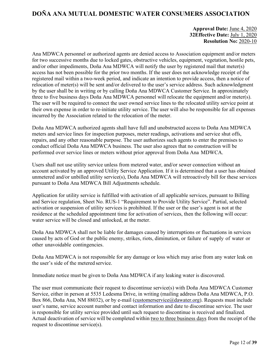## **Approval Date:** June 4, 2020 **32Effective Date:** July 1, 2020 **Resolution No:** 2020-10

Ana MDWCA personnel or authorized agents are denied access to Association equipment and/or meters for two successive months due to locked gates, obstructive vehicles, equipment, vegetation, hostile pets, and/or other impediments, Doña Ana MDWCA will notify the user by registered mail that meter(s) access has not been possible for the prior two months. If the user does not acknowledge receipt of the registered mail within a two-week period, and indicate an intention to provide access, then a notice of relocation of meter(s) will be sent and/or delivered to the user's service address. Such acknowledgment by the user shall be in writing or by calling Doña Ana MDWCA Customer Service. In approximately three to five business days Doña Ana MDWCA personnel will relocate the equipment and/or meter(s). The user will be required to connect the user owned service lines to the relocated utility service point at their own expense in order to re-initiate utility service. The user will also be responsible for all expenses incurred by the Association related to the relocation of the meter.

Doña Ana MDWCA authorized agents shall have full and unobstructed access to Doña Ana MDWCA meters and service lines for inspection purposes, meter readings, activations and service shut offs, repairs, and any other reasonable purpose. The user authorizes such agents to enter the premises to conduct official Doña Ana MDWCA business. The user also agrees that no construction will be performed over service lines or meters without prior approval from Doña Ana MDWCA.

Users shall not use utility service unless from metered water, and/or sewer connection without an account activated by an approved Utility Service Application. If it is determined that a user has obtained unmetered and/or unbilled utility service(s), Doña Ana MDWCA will retroactively bill for these services pursuant to Doña Ana MDWCA Bill Adjustments schedule.

Application for utility service is fulfilled with activation of all applicable services, pursuant to Billing and Service regulation, Sheet No. RUS-1 "Requirement to Provide Utility Service". Partial, selected activation or suspension of utility services is prohibited. If the user or the user's agent is not at the residence at the scheduled appointment time for activation of services, then the following will occur: water service will be closed and unlocked, at the meter.

Doña Ana MDWCA shall not be liable for damages caused by interruptions or fluctuations in services caused by acts of God or the public enemy, strikes, riots, diminution, or failure of supply of water or other unavoidable contingencies.

Doña Ana MDWCA is not responsible for any damage or loss which may arise from any water leak on the user's side of the metered service.

Immediate notice must be given to Doña Ana MDWCA if any leaking water is discovered.

The user must communicate their request to discontinue service(s) with Doña Ana MDWCA Customer Service, either in person at 5535 Ledesma Drive, in writing (mailing address Doña Ana MDWCA, P.O. Box 866, Doña Ana, NM 88032), or by e-mail (customerservice@dawater.org). Requests must include user's name, service account number and contact information and date to discontinue service. The user is responsible for utility service provided until such request to discontinue is received and finalized. Actual deactivation of service will be completed within two to three business days from the receipt of the request to discontinue service(s).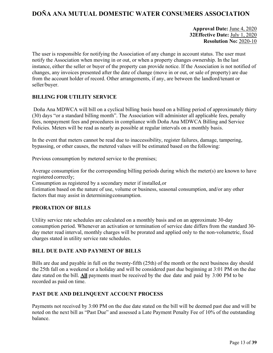## **Approval Date:** June 4, 2020 **32Effective Date:** July 1, 2020 **Resolution No:** 2020-10

The user is responsible for notifying the Association of any change in account status. The user must notify the Association when moving in or out, or when a property changes ownership. In the last instance, either the seller or buyer of the property can provide notice. If the Association is not notified of changes, any invoices presented after the date of change (move in or out, or sale of property) are due from the account holder of record. Other arrangements, if any, are between the landlord/tenant or seller/buyer.

## **BILLING FOR UTILITY SERVICE**

Doña Ana MDWCA will bill on a cyclical billing basis based on a billing period of approximately thirty (30) days "or a standard billing month". The Association will administer all applicable fees, penalty fees, nonpayment fees and procedures in compliance with Doña Ana MDWCA Billing and Service Policies. Meters will be read as nearly as possible at regular intervals on a monthly basis.

In the event that meters cannot be read due to inaccessibility, register failures, damage, tampering, bypassing, or other causes, the metered values will be estimated based on the following:

Previous consumption by metered service to the premises;

Average consumption for the corresponding billing periods during which the meter(s) are known to have registered correctly;

Consumption as registered by a secondary meter if installed,or

Estimation based on the nature of use, volume or business, seasonal consumption, and/or any other factors that may assist in determiningconsumption.

#### **PRORATION OF BILLS**

Utility service rate schedules are calculated on a monthly basis and on an approximate 30-day consumption period. Whenever an activation or termination of service date differs from the standard 30 day meter read interval, monthly charges will be prorated and applied only to the non-volumetric, fixed charges stated in utility service rate schedules.

## **BILL DUE DATE AND PAYMENT OF BILLS**

Bills are due and payable in full on the twenty-fifth (25th) of the month or the next business day should the 25th fall on a weekend or a holiday and will be considered past due beginning at 3:01 PM on the due date stated on the bill. **All** payments must be received by the due date and paid by 3:00 PM to be recorded as paid on time.

#### **PAST DUE AND DELINQUENT ACCOUNT PROCESS**

Payments not received by 3:00 PM on the due date stated on the bill will be deemed past due and will be noted on the next bill as "Past Due" and assessed a Late Payment Penalty Fee of 10% of the outstanding balance.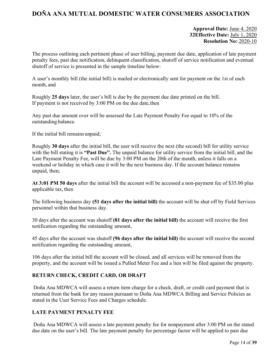## **Approval Date:** June 4, 2020 **32Effective Date:** July 1, 2020 **Resolution No:** 2020-10

The process outlining each pertinent phase of user billing, payment due date, application of late payment penalty fees, past due notification, delinquent classification, shutoff of service notification and eventual shutoff of service is presented in the sample timeline below:

A user's monthly bill (the initial bill) is mailed or electronically sent for payment on the 1st of each month, and

Roughly **25 days** later, the user's bill is due by the payment due date printed on the bill. If payment is not received by 3:00 PM on the due date,then

Any past due amount over will be assessed the Late Payment Penalty Fee equal to 10% of the outstanding balance.

If the initial bill remains unpaid;

Roughly **30 days** after the initial bill, the user will receive the next (the second) bill for utility service with the bill stating it is "Past Due". The unpaid balance for utility service from the initial bill, and the Late Payment Penalty Fee, will be due by 3:00 PM on the 20th of the month, unless it falls on a weekend or holiday in which case it will be the next business day. If the account balance remains unpaid, then;

**At 3:01 PM 50 days** after the initial bill the account will be accessed a non-payment fee of \$35.00 plus applicable tax, then

The following business day **(51 days after the initial bill)** the account will be shut off by Field Services personnel within that business day.

30 days after the account was shutoff **(81 days after the initial bill)** the account will receive the first notification regarding the outstanding amount,

45 days after the account was shutoff **(96 days after the initial bill)** the account will receive the second notification regarding the outstanding amount,

106 days after the initial bill the account will be closed, and all services will be removed from the property, and the account will be issued a Pulled Meter Fee and a lien will be filed against the property.

## **RETURN CHECK, CREDIT CARD, OR DRAFT**

Doña Ana MDWCA will assess a return item charge for a check, draft, or credit card payment that is returned from the bank for any reason pursuant to Doña Ana MDWCA Billing and Service Policies as stated in the User Service Fees and Charges schedule.

## **LATE PAYMENT PENALTY FEE**

Doña Ana MDWCA will assess a late payment penalty fee for nonpayment after 3:00 PM on the stated due date on the user's bill. The late payment penalty fee percentage factor will be applied to past due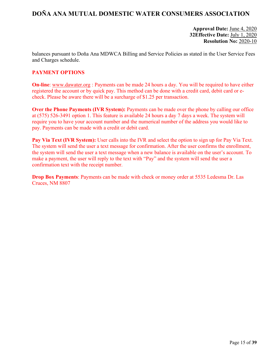## **Approval Date:** June 4, 2020 **32Effective Date:** July 1, 2020 **Resolution No:** 2020-10

balances pursuant to Doña Ana MDWCA Billing and Service Policies as stated in the User Service Fees and Charges schedule.

## **PAYMENT OPTIONS**

**On-line**: [www.dawater.org](http://www.dawater.org/) : Payments can be made 24 hours a day. You will be required to have either registered the account or by quick pay. This method can be done with a credit card, debit card or echeck. Please be aware there will be a surcharge of \$1.25 per transaction.

**Over the Phone Payments (IVR System):** Payments can be made over the phone by calling our office at (575) 526-3491 option 1. This feature is available 24 hours a day 7 days a week. The system will require you to have your account number and the numerical number of the address you would like to pay. Payments can be made with a credit or debit card.

**Pay Via Text (IVR System):** User calls into the IVR and select the option to sign up for Pay Via Text. The system will send the user a text message for confirmation. After the user confirms the enrollment, the system will send the user a text message when a new balance is available on the user's account. To make a payment, the user will reply to the text with "Pay" and the system will send the user a confirmation text with the receipt number.

**Drop Box Payments**: Payments can be made with check or money order at 5535 Ledesma Dr. Las Cruces, NM 8807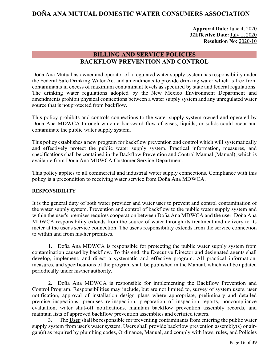**Approval Date:** June 4, 2020 **32Effective Date:** July 1, 2020 **Resolution No:** 2020-10

## **BILLING AND SERVICE POLICIES BACKFLOW PREVENTION AND CONTROL**

<span id="page-16-0"></span>Doña Ana Mutual as owner and operator of a regulated water supply system has responsibility under the Federal Safe Drinking Water Act and amendments to provide drinking water which is free from contaminants in excess of maximum contaminant levels as specified by state and federal regulations. The drinking water regulations adopted by the New Mexico Environment Department and amendments prohibit physical connections between a water supply system and any unregulated water source that is not protected from backflow.

This policy prohibits and controls connections to the water supply system owned and operated by Doña Ana MDWCA through which a backward flow of gases, liquids, or solids could occur and contaminate the public water supply system.

This policy establishes a new program for backflow prevention and control which will systematically and effectively protect the public water supply system. Practical information, measures, and specifications shall be contained in the Backflow Prevention and Control Manual (Manual), which is available from Doña Ana MDWCA Customer Service Department.

This policy applies to all commercial and industrial water supply connections. Compliance with this policy is a precondition to receiving water service from Doña Ana MDWCA.

#### **RESPONSIBILITY**

It is the general duty of both water provider and water user to prevent and control contamination of the water supply system. Prevention and control of backflow to the public water supply system and within the user's premises requires cooperation between Doña Ana MDWCA and the user. Doña Ana MDWCA responsibility extends from the source of water through its treatment and delivery to its meter at the user's service connection. The user's responsibility extends from the service connection to within and from his/her premises.

1. Doña Ana MDWCA is responsible for protecting the public water supply system from contamination caused by backflow. To this end, the Executive Director and designated agents shall develop, implement, and direct a systematic and effective program. All practical information, measures, and specifications of the program shall be published in the Manual, which will be updated periodically under his/her authority.

2. Doña Ana MDWCA is responsible for implementing the Backflow Prevention and Control Program. Responsibilities may include, but are not limited to, survey of system users, user notification, approval of installation design plans where appropriate, preliminary and detailed premise inspections, premises re-inspection, preparation of inspection reports, noncompliance evaluation, water shut-off notifications, maintain backflow prevention assembly records, and maintain lists of approved backflow prevention assemblies and certified testers.

3. The **User** shall be responsible for preventing contaminants from entering the public water supply system from user's water system. Users shall provide backflow prevention assembly(s) or airgap(s) as required by plumbing codes, Ordinance, Manual, and comply with laws, rules, and Policies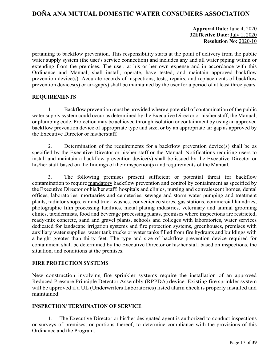## **Approval Date:** June 4, 2020 **32Effective Date:** July 1, 2020 **Resolution No:** 2020-10

pertaining to backflow prevention. This responsibility starts at the point of delivery from the public water supply system (the user's service connection) and includes any and all water piping within or extending from the premises. The user, at his or her own expense and in accordance with this Ordinance and Manual, shall install, operate, have tested, and maintain approved backflow prevention device(s). Accurate records of inspections, tests, repairs, and replacements of backflow prevention devices(s) or air-gap(s) shall be maintained by the user for a period of at least three years.

#### **REQUIREMENTS**

1. Backflow prevention must be provided where a potential of contamination of the public water supply system could occur as determined by the Executive Director or his/her staff, the Manual, or plumbing code. Protection may be achieved through isolation or containment by using an approved backflow prevention device of appropriate type and size, or by an appropriate air gap as approved by the Executive Director or his/herstaff.

2. Determination of the requirements for a backflow prevention device(s) shall be as specified by the Executive Director or his/her staff or the Manual. Notifications requiring users to install and maintain a backflow prevention device(s) shall be issued by the Executive Director or his/her staff based on the findings of their inspection(s) and requirements of the Manual.

3. The following premises present sufficient or potential threat for backflow contamination to require mandatory backflow prevention and control by containment as specified by the Executive Director or his/her staff: hospitals and clinics, nursing and convalescent homes, dental offices, laboratories, mortuaries and cemeteries, sewage and storm water pumping and treatment plants, radiator shops, car and truck washes, convenience stores, gas stations, commercial laundries, photographic film processing facilities, metal plating industries, veterinary and animal grooming clinics, taxidermists, food and beverage processing plants, premises where inspections are restricted, ready-mix concrete, sand and gravel plants, schools and colleges with laboratories, water services dedicated for landscape irrigation systems and fire protection systems, greenhouses, premises with auxiliary water supplies, water tank trucks or water tanks filled from fire hydrants and buildings with a height greater than thirty feet. The type and size of backflow prevention device required for containment shall be determined by the Executive Director or his/her staff based on inspections, the situation, and conditions at the premises.

#### **FIRE PROTECTION SYSTEMS**

New construction involving fire sprinkler systems require the installation of an approved Reduced Pressure Principle Detector Assembly (RPPDA) device. Existing fire sprinkler system will be approved if a UL (Underwriters Laboratories) listed alarm check is properly installed and maintained.

#### **INSPECTION/ TERMINATION OF SERVICE**

The Executive Director or his/her designated agent is authorized to conduct inspections or surveys of premises, or portions thereof, to determine compliance with the provisions of this Ordinance and the Program.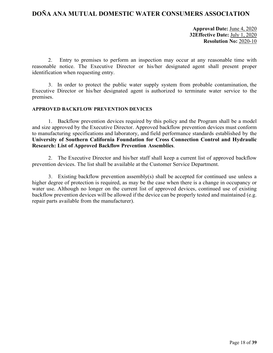**Approval Date:** June 4, 2020 **32Effective Date:** July 1, 2020 **Resolution No:** 2020-10

2. Entry to premises to perform an inspection may occur at any reasonable time with reasonable notice. The Executive Director or his/her designated agent shall present proper identification when requesting entry.

3. In order to protect the public water supply system from probable contamination, the Executive Director or his/her designated agent is authorized to terminate water service to the premises.

#### **APPROVED BACKFLOW PREVENTION DEVICES**

1. Backflow prevention devices required by this policy and the Program shall be a model and size approved by the Executive Director. Approved backflow prevention devices must conform to manufacturing specifications and laboratory, and field performance standards established by the **University of Southern California Foundation for Cross Connection Control and Hydraulic Research: List of Approved Backflow Prevention Assemblies**.

2. The Executive Director and his/her staff shall keep a current list of approved backflow prevention devices. The list shall be available at the Customer Service Department.

3. Existing backflow prevention assembly(s) shall be accepted for continued use unless a higher degree of protection is required, as may be the case when there is a change in occupancy or water use. Although no longer on the current list of approved devices, continued use of existing backflow prevention devices will be allowed if the device can be properly tested and maintained (e.g. repair parts available from the manufacturer).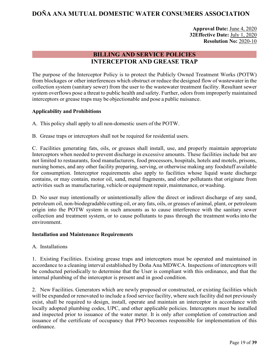**Approval Date:** June 4, 2020 **32Effective Date:** July 1, 2020 **Resolution No:** 2020-10

## **BILLING AND SERVICE POLICIES INTERCEPTOR AND GREASE TRAP**

<span id="page-19-0"></span>The purpose of the Interceptor Policy is to protect the Publicly Owned Treatment Works (POTW) from blockages or other interferences which obstruct or reduce the designed flow of wastewater in the collection system (sanitary sewer) from the user to the wastewater treatment facility. Resultant sewer system overflows pose a threat to public health and safety. Further, odors from improperly maintained interceptors or grease traps may be objectionable and pose a public nuisance.

## **Applicability and Prohibitions**

A. This policy shall apply to all non-domestic users of the POTW.

B. Grease traps or interceptors shall not be required for residential users.

C. Facilities generating fats, oils, or greases shall install, use, and properly maintain appropriate Interceptors when needed to prevent discharge in excessive amounts. These facilities include but are not limited to restaurants, food manufacturers, food processors, hospitals, hotels and motels, prisons, nursing homes, and any other facility preparing, serving, or otherwise making any foodstuff available for consumption. Interceptor requirements also apply to facilities whose liquid waste discharge contains, or may contain, motor oil, sand, metal fragments, and other pollutants that originate from activities such as manufacturing, vehicle or equipment repair, maintenance, or washing.

D. No user may intentionally or unintentionally allow the direct or indirect discharge of any sand, petroleum oil, non-biodegradable cutting oil, or any fats, oils, or greases of animal, plant, or petroleum origin into the POTW system in such amounts as to cause interference with the sanitary sewer collection and treatment system, or to cause pollutants to pass through the treatment worksinto the environment.

#### **Installation and Maintenance Requirements**

A. Installations

1. Existing Facilities. Existing grease traps and interceptors must be operated and maintained in accordance to a cleaning interval established by Doña Ana MDWCA. Inspections of interceptors will be conducted periodically to determine that the User is compliant with this ordinance, and that the internal plumbing of the interceptor is present and in good condition.

2. New Facilities. Generators which are newly proposed or constructed, or existing facilities which will be expanded or renovated to include a food service facility, where such facility did not previously exist, shall be required to design, install, operate and maintain an interceptor in accordance with locally adopted plumbing codes, UPC, and other applicable policies. Interceptors must be installed and inspected prior to issuance of the water meter. It is only after completion of construction and issuance of the certificate of occupancy that PPO becomes responsible for implementation of this ordinance.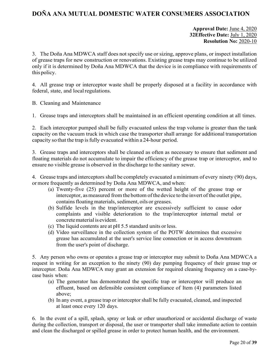## **Approval Date:** June 4, 2020 **32Effective Date:** July 1, 2020 **Resolution No:** 2020-10

3. The Doña Ana MDWCA staff does not specify use or sizing, approve plans, or inspect installation of grease traps for new construction or renovations. Existing grease traps may continue to be utilized only if it is determined by Doña Ana MDWCA that the device is in compliance with requirements of this policy.

4. All grease trap or interceptor waste shall be properly disposed at a facility in accordance with federal, state, and local regulations.

B. Cleaning and Maintenance

1. Grease traps and interceptors shall be maintained in an efficient operating condition at all times.

2. Each interceptor pumped shall be fully evacuated unless the trap volume is greater than the tank capacity on the vacuum truck in which case the transporter shall arrange for additional transportation capacity so that the trap isfully evacuated within a 24-hour period.

3. Grease traps and interceptors shall be cleaned as often as necessary to ensure that sediment and floating materials do not accumulate to impair the efficiency of the grease trap or interceptor, and to ensure no visible grease is observed in the discharge to the sanitary sewer.

4. Grease traps and interceptors shall be completely evacuated a minimum of every ninety (90) days, ormore frequently as determined by Doña Ana MDWCA, and when:

- (a) Twenty-five (25) percent or more of the wetted height of the grease trap or interceptor, as measured from the bottom of the device to the invert of the outlet pipe, contains floating materials, sediment, oils or greases.
- (b) Sulfide levels in the trap/interceptor are excessively sufficient to cause odor complaints and visible deterioration to the trap/interceptor internal metal or concrete material is evident.
- (c) The liquid contents are at pH 5.5 standard units or less.
- (d) Video surveillance in the collection system of the POTW determines that excessive grease has accumulated at the user's service line connection or in access downstream from the user's point of discharge.

5. Any person who owns or operates a grease trap or interceptor may submit to Doña Ana MDWCA a request in writing for an exception to the ninety (90) day pumping frequency of their grease trap or interceptor. Doña Ana MDWCA may grant an extension for required cleaning frequency on a case-bycase basis when:

- (a) The generator has demonstrated the specific trap or interceptor will produce an effluent, based on defensible consistent compliance of Item (4) parameters listed above;
- (b) In any event, a grease trap or interceptor shall be fully evacuated, cleaned, and inspected at least once every 120 days.

6. In the event of a spill, splash, spray or leak or other unauthorized or accidental discharge of waste during the collection, transport or disposal, the user or transporter shall take immediate action to contain and clean the discharged or spilled grease in order to protect human health, and the environment.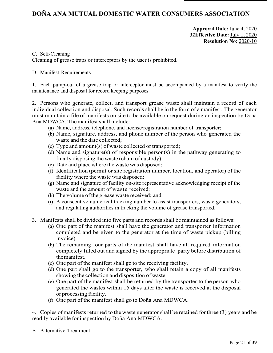## **Approval Date:** June 4, 2020 **32Effective Date:** July 1, 2020 **Resolution No:** 2020-10

#### C. Self-Cleaning

Cleaning of grease traps or interceptors by the user is prohibited.

## D. Manifest Requirements

1. Each pump-out of a grease trap or interceptor must be accompanied by a manifest to verify the maintenance and disposal for record keeping purposes.

2. Persons who generate, collect, and transport grease waste shall maintain a record of each individual collection and disposal. Such records shall be in the form of a manifest. The generator must maintain a file of manifests on site to be available on request during an inspection by Doña Ana MDWCA. The manifest shall include:

- (a) Name, address, telephone, and license/registration number of transporter;
- (b) Name, signature, address, and phone number of the person who generated the waste and the date collected;
- (c) Type and amount(s) of waste collected or transported;
- (d) Name and signature(s) of responsible person(s) in the pathway generating to finally disposing the waste (chain of custody);
- (e) Date and place where the waste was disposed;
- (f) Identification (permit or site registration number, location, and operator) of the facility where the waste was disposed;
- (g) Name and signature of facility on-site representative acknowledging receipt of the waste and the amount of waste received;
- (h) The volume of the grease waste received; and
- (i) A consecutive numerical tracking number to assist transporters, waste generators, and regulating authorities in tracking the volume of grease transported.
- 3. Manifests shall be divided into five parts and records shall be maintained as follows:
	- (a) One part of the manifest shall have the generator and transporter information completed and be given to the generator at the time of waste pickup (billing invoice).
	- (b) The remaining four parts of the manifest shall have all required information completely filled out and signed by the appropriate party before distribution of themanifest.
	- (c) One part of the manifest shall go to the receiving facility.
	- (d) One part shall go to the transporter, who shall retain a copy of all manifests showing the collection and disposition of waste.
	- (e) One part of the manifest shall be returned by the transporter to the person who generated the wastes within 15 days after the waste is received at the disposal or processing facility.
	- (f) One part of the manifest shall go to Doña Ana MDWCA.

4. Copies of manifests returned to the waste generator shall be retained for three (3) years and be readily available for inspection by Doña Ana MDWCA.

E. Alternative Treatment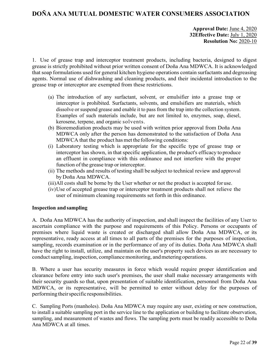## **Approval Date:** June 4, 2020 **32Effective Date:** July 1, 2020 **Resolution No:** 2020-10

1. Use of grease trap and interceptor treatment products, including bacteria, designed to digest grease is strictly prohibited without prior written consent of Doña Ana MDWCA. It is acknowledged that soap formulations used for general kitchen hygiene operations contain surfactants and degreasing agents. Normal use of dishwashing and cleaning products, and their incidental introduction to the grease trap or interceptor are exempted from these restrictions.

- (a) The introduction of any surfactant, solvent, or emulsifier into a grease trap or interceptor is prohibited. Surfactants, solvents, and emulsifiers are materials, which dissolve or suspend grease and enable it to pass from the trap into the collection system. Examples of such materials include, but are not limited to, enzymes, soap, diesel, kerosene, terpene, and organic solvents.
- (b) Bioremediation products may be used with written prior approval from Doña Ana MDWCA only after the person has demonstrated to the satisfaction of Doña Ana MDWCA that the product has met the following conditions:
- (i) Laboratory testing which is appropriate for the specific type of grease trap or interceptor has shown, in that specific application, the product's efficacy to produce an effluent in compliance with this ordinance and not interfere with the proper function of the grease trap or interceptor.
- (ii) The methods and results of testing shall be subject to technical review and approval by Doña Ana MDWCA.
- (iii)All costs shall be borne by the User whether or not the product is accepted for use.
- (iv)Use of accepted grease trap or interceptor treatment products shall not relieve the user of minimum cleaning requirements set forth in this ordinance.

#### **Inspection and sampling**

A. Doña Ana MDWCA has the authority of inspection, and shall inspect the facilities of any User to ascertain compliance with the purpose and requirements of this Policy. Persons or occupants of premises where liquid waste is created or discharged shall allow Doña Ana MDWCA, or its representative, ready access at all times to all parts of the premises for the purposes of inspection, sampling, records examination or in the performance of any of its duties. Doña Ana MDWCA shall have the right to install, utilize, and maintain on the user's property such devices as are necessary to conduct sampling, inspection, compliance monitoring, and metering operations.

B. Where a user has security measures in force which would require proper identification and clearance before entry into such user's premises, the user shall make necessary arrangements with their security guards so that, upon presentation of suitable identification, personnel from Doña Ana MDWCA, or its representative, will be permitted to enter without delay for the purposes of performing their specific responsibilities.

C. Sampling Ports (manholes). Doña Ana MDWCA may require any user, existing or new construction, to install a suitable sampling port in the service line to the application or building to facilitate observation, sampling, and measurement of wastes and flows. The sampling ports must be readily accessible to Doña Ana MDWCA at all times.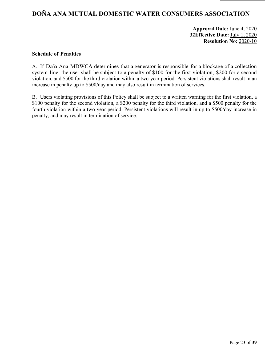## **Approval Date:** June 4, 2020 **32Effective Date:** July 1, 2020 **Resolution No:** 2020-10

#### **Schedule of Penalties**

A. If Doña Ana MDWCA determines that a generator is responsible for a blockage of a collection system line, the user shall be subject to a penalty of \$100 for the first violation, \$200 for a second violation, and \$500 for the third violation within a two-year period. Persistent violations shall result in an increase in penalty up to \$500/day and may also result in termination of services.

B. Users violating provisions of this Policy shall be subject to a written warning for the first violation, a \$100 penalty for the second violation, a \$200 penalty for the third violation, and a \$500 penalty for the fourth violation within a two-year period. Persistent violations will result in up to \$500/day increase in penalty, and may result in termination of service.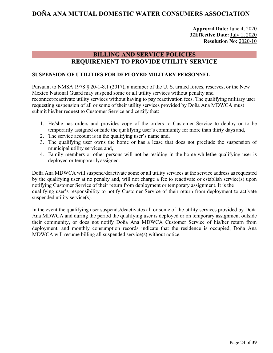## **Approval Date:** June 4, 2020 **32Effective Date:** July 1, 2020 **Resolution No:** 2020-10

## **BILLING AND SERVICE POLICIES REQUIREMENT TO PROVIDE UTILITY SERVICE**

#### <span id="page-24-0"></span>**SUSPENSION OF UTILITIES FOR DEPLOYED MILITARY PERSONNEL**

Pursuant to NMSA 1978 § 20-1-8.1 (2017), a member of the U. S. armed forces, reserves, or the New Mexico National Guard may suspend some or all utility services without penalty and reconnect/reactivate utility services without having to pay reactivation fees. The qualifying military user requesting suspension of all or some of their utility services provided by Doña Ana MDWCA must submit his/her request to Customer Service and certify that:

- 1. He/she has orders and provides copy of the orders to Customer Service to deploy or to be temporarily assigned outside the qualifying user's community for more than thirty days and,
- 2. The service account is in the qualifying user's name and,
- 3. The qualifying user owns the home or has a lease that does not preclude the suspension of municipal utility services,and,
- 4. Family members or other persons will not be residing in the home whilethe qualifying user is deployed or temporarilyassigned.

Doña Ana MDWCA will suspend/deactivate some or all utility services at the service address as requested by the qualifying user at no penalty and, will not charge a fee to reactivate or establish service(s) upon notifying Customer Service of their return from deployment or temporary assignment. It is the qualifying user's responsibility to notify Customer Service of their return from deployment to activate suspended utility service(s).

In the event the qualifying user suspends/deactivates all or some of the utility services provided by Doña Ana MDWCA and during the period the qualifying user is deployed or on temporary assignment outside their community, or does not notify Doña Ana MDWCA Customer Service of his/her return from deployment, and monthly consumption records indicate that the residence is occupied, Doña Ana MDWCA will resume billing all suspended service(s) without notice.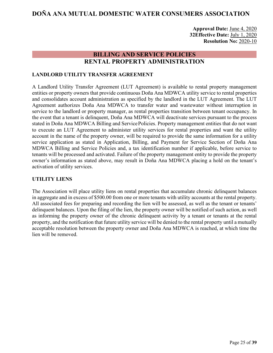**Approval Date:** June 4, 2020 **32Effective Date:** July 1, 2020 **Resolution No:** 2020-10

## **BILLING AND SERVICE POLICIES RENTAL PROPERTY ADMINISTRATION**

## <span id="page-25-0"></span>**LANDLORD UTILITY TRANSFER AGREEMENT**

A Landlord Utility Transfer Agreement (LUT Agreement) is available to rental property management entities or property owners that provide continuous Doña Ana MDWCA utility service to rental properties and consolidates account administration as specified by the landlord in the LUT Agreement. The LUT Agreement authorizes Doña Ana MDWCA to transfer water and wastewater without interruption in service to the landlord or property manager, as rental properties transition between tenant occupancy. In the event that a tenant is delinquent, Doña Ana MDWCA will deactivate services pursuant to the process stated in Doña Ana MDWCA Billing and ServicePolicies. Property management entities that do not want to execute an LUT Agreement to administer utility services for rental properties and want the utility account in the name of the property owner, will be required to provide the same information for a utility service application as stated in Application, Billing, and Payment for Service Section of Doña Ana MDWCA Billing and Service Policies and, a tax identification number if applicable, before service to tenants will be processed and activated. Failure of the property management entity to provide the property owner's information as stated above, may result in Doña Ana MDWCA placing a hold on the tenant's activation of utility services.

#### **UTILITY LIENS**

The Association will place utility liens on rental properties that accumulate chronic delinquent balances in aggregate and in excess of \$500.00 from one or more tenants with utility accounts at the rental property. All associated fees for preparing and recording the lien will be assessed, as well as the tenant or tenants' delinquent balances. Upon the filing of the lien, the property owner will be notified of such action, as well as informing the property owner of the chronic delinquent activity by a tenant or tenants at the rental property, and the notification that future utility service will be denied to the rental property until a mutually acceptable resolution between the property owner and Doña Ana MDWCA is reached, at which time the lien will be removed.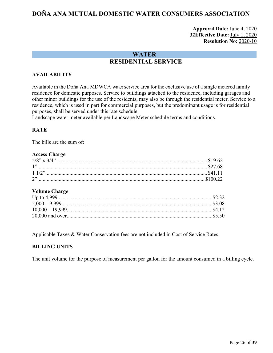## **Approval Date:** June 4, 2020 **32Effective Date:** July 1, 2020 **Resolution No:** 2020-10

## **WATER RESIDENTIAL SERVICE**

## <span id="page-26-1"></span><span id="page-26-0"></span>**AVAILABILITY**

Available in the Doña Ana MDWCA water service area for the exclusive use of a single metered family residence for domestic purposes. Service to buildings attached to the residence, including garages and other minor buildings for the use of the residents, may also be through the residential meter. Service to a residence, which is used in part for commercial purposes, but the predominant usage is for residential purposes, shall be served under this rate schedule.

Landscape water meter available per Landscape Meter schedule terms and conditions.

#### **RATE**

The bills are the sum of:

#### **Access Charge**

#### **Volume Charge**

Applicable Taxes & Water Conservation fees are not included in Cost of Service Rates.

#### **BILLING UNITS**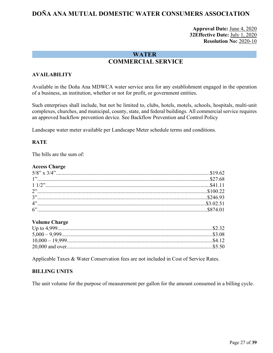## **Approval Date:** June 4, 2020 **32Effective Date:** July 1, 2020 **Resolution No:** 2020-10

## **WATER COMMERCIAL SERVICE**

## <span id="page-27-0"></span>**AVAILABILITY**

Available in the Doña Ana MDWCA water service area for any establishment engaged in the operation of a business, an institution, whether or not for profit, or government entities.

Such enterprises shall include, but not be limited to, clubs, hotels, motels, schools, hospitals, multi-unit complexes, churches, and municipal, county, state, and federal buildings. All commercial service requires an approved backflow prevention device. See Backflow Prevention and Control Policy

Landscape water meter available per Landscape Meter schedule terms and conditions.

## **RATE**

The bills are the sum of:

#### **Access Charge**

#### **Volume Charge**

Applicable Taxes & Water Conservation fees are not included in Cost of Service Rates.

#### **BILLING UNITS**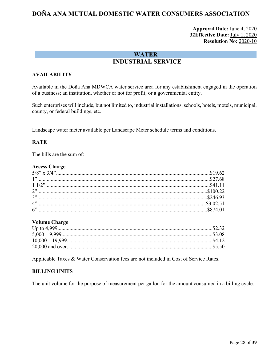## **Approval Date:** June 4, 2020 **32Effective Date:** July 1, 2020 **Resolution No:** 2020-10

## **WATER INDUSTRIAL SERVICE**

## <span id="page-28-0"></span>**AVAILABILITY**

Available in the Doña Ana MDWCA water service area for any establishment engaged in the operation of a business; an institution, whether or not for profit; or a governmental entity.

Such enterprises will include, but not limited to, industrial installations, schools, hotels, motels, municipal, county, or federal buildings, etc.

Landscape water meter available per Landscape Meter schedule terms and conditions.

#### **RATE**

The bills are the sum of:

#### **Access Charge**

#### **Volume Charge**

Applicable Taxes & Water Conservation fees are not included in Cost of Service Rates.

#### **BILLING UNITS**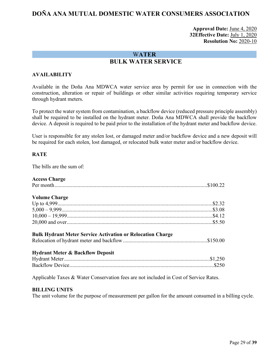## **Approval Date:** June 4, 2020 **32Effective Date:** July 1, 2020 **Resolution No:** 2020-10

## W**ATER BULK WATER SERVICE**

## <span id="page-29-0"></span>**AVAILABILITY**

Available in the Doña Ana MDWCA water service area by permit for use in connection with the construction, alteration or repair of buildings or other similar activities requiring temporary service through hydrant meters.

To protect the water system from contamination, a backflow device (reduced pressure principle assembly) shall be required to be installed on the hydrant meter. Doña Ana MDWCA shall provide the backflow device. A deposit is required to be paid prior to the installation of the hydrant meter and backflow device.

User is responsible for any stolen lost, or damaged meter and/or backflow device and a new deposit will be required for each stolen, lost damaged, or relocated bulk water meter and/or backflow device.

#### **RATE**

The bills are the sum of:

#### **Access Charge**

| <b>Volume Charge</b>                                                                  |  |
|---------------------------------------------------------------------------------------|--|
|                                                                                       |  |
| $5,000-9,999$                                                                         |  |
|                                                                                       |  |
|                                                                                       |  |
| <b>Bulk Hydrant Meter Service Activation or Relocation Charge</b>                     |  |
| <b>Hydrant Meter &amp; Backflow Deposit</b>                                           |  |
|                                                                                       |  |
|                                                                                       |  |
| Applicable Taxes & Water Conservation fees are not included in Cost of Service Rates. |  |
| <b>DII I INC IINITE</b>                                                               |  |

#### **BILLING UNITS**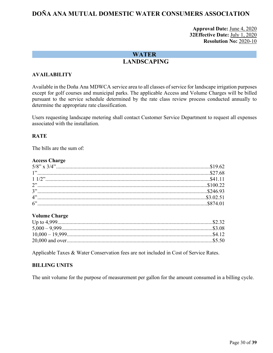## **Approval Date:** June 4, 2020 **32Effective Date:** July 1, 2020 **Resolution No:** 2020-10

## **WATER LANDSCAPING**

## <span id="page-30-0"></span>**AVAILABILITY**

Available in the Doña Ana MDWCA service area to all classes of service for landscape irrigation purposes except for golf courses and municipal parks. The applicable Access and Volume Charges will be billed pursuant to the service schedule determined by the rate class review process conducted annually to determine the appropriate rate classification.

Users requesting landscape metering shall contact Customer Service Department to request all expenses associated with the installation.

#### **RATE**

The bills are the sum of:

#### **Access Charge**

#### **Volume Charge**

Applicable Taxes & Water Conservation fees are not included in Cost of Service Rates.

#### **BILLING UNITS**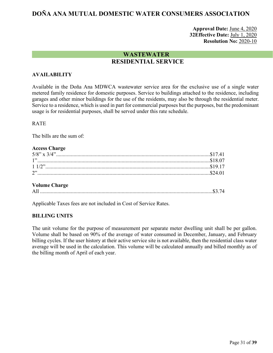## **Approval Date:** June 4, 2020 **32Effective Date:** July 1, 2020 **Resolution No:** 2020-10

## **WASTEWATER RESIDENTIAL SERVICE**

## <span id="page-31-1"></span><span id="page-31-0"></span>**AVAILABILITY**

Available in the Doña Ana MDWCA wastewater service area for the exclusive use of a single water metered family residence for domestic purposes. Service to buildings attached to the residence, including garages and other minor buildings for the use of the residents, may also be through the residential meter. Service to a residence, which is used in part for commercial purposes but the purposes, but the predominant usage is for residential purposes, shall be served under this rate schedule.

#### RATE

The bills are the sum of:

#### **Access Charge**

#### **Volume Charge**

|--|--|--|--|

Applicable Taxes fees are not included in Cost of Service Rates.

#### **BILLING UNITS**

The unit volume for the purpose of measurement per separate meter dwelling unit shall be per gallon. Volume shall be based on 90% of the average of water consumed in December, January, and February billing cycles. If the user history at their active service site is not available, then the residential class water average will be used in the calculation. This volume will be calculated annually and billed monthly as of the billing month of April of each year.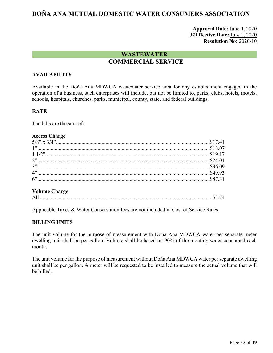## **Approval Date:** June 4, 2020 **32Effective Date:** July 1, 2020 **Resolution No:** 2020-10

## **WASTEWATER COMMERCIAL SERVICE**

## <span id="page-32-0"></span>**AVAILABILITY**

Available in the Doña Ana MDWCA wastewater service area for any establishment engaged in the operation of a business, such enterprises will include, but not be limited to, parks, clubs, hotels, motels, schools, hospitals, churches, parks, municipal, county, state, and federal buildings.

#### **RATE**

The bills are the sum of:

#### **Access Charge**

#### **Volume Charge**

All .................................................................................................................................\$3.74

Applicable Taxes & Water Conservation fees are not included in Cost of Service Rates.

#### **BILLING UNITS**

The unit volume for the purpose of measurement with Doña Ana MDWCA water per separate meter dwelling unit shall be per gallon. Volume shall be based on 90% of the monthly water consumed each month.

The unit volume for the purpose of measurement without Doña Ana MDWCA water per separate dwelling unit shall be per gallon. A meter will be requested to be installed to measure the actual volume that will be billed.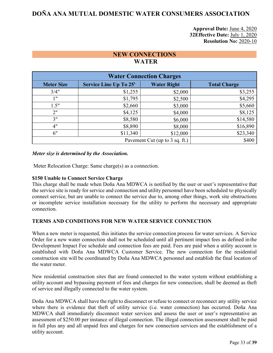## **Approval Date:** June 4, 2020 **32Effective Date:** July 1, 2020 **Resolution No:** 2020-10

## **NEW CONNECTIONS WATER**

<span id="page-33-1"></span><span id="page-33-0"></span>

| <b>Water Connection Charges</b>         |                               |                    |                     |  |
|-----------------------------------------|-------------------------------|--------------------|---------------------|--|
| <b>Meter Size</b>                       | <b>Service Line Up To 25'</b> | <b>Water Right</b> | <b>Total Charge</b> |  |
| 3/4"                                    | \$1,255                       | \$2,000            | \$3,255             |  |
| 1"                                      | \$1,795                       | \$2,500            | \$4,295             |  |
| 1.5"                                    | \$2,660                       | \$3,000            | \$5,660             |  |
| 2"                                      | \$4,125                       | \$4,000            | \$8,125             |  |
| 3"                                      | \$8,580                       | \$6,000            | \$14,580            |  |
| 4"                                      | \$8,890                       | \$8,000            | \$16,890            |  |
| 6"                                      | \$11,340                      | \$12,000           | \$23,340            |  |
| \$400<br>Pavement Cut (up to 3 sq. ft.) |                               |                    |                     |  |

#### *Meter size is determined by the Association.*

Meter Relocation Charge: Same charge(s) as a connection.

#### **\$150 Unable to Connect Service Charge**

This charge shall be made when Doña Ana MDWCA is notified by the user or user's representative that the service site is ready for service and connection and utility personnel have been scheduled to physically connect service, but are unable to connect the service due to, among other things, work site obstructions or incomplete service installation necessary for the utility to perform the necessary and appropriate connection.

#### <span id="page-33-2"></span>**TERMS AND CONDITIONS FOR NEW WATER SERVICE CONNECTION**

When a new meter is requested, this initiates the service connection process for water services. A Service Order for a new water connection shall not be scheduled until all pertinent impact fees as defined in the Development Impact Fee schedule and connection fees are paid. Fees are paid when a utility account is established with Doña Ana MDWCA Customer Service. The new connection for the residential construction site will be coordinated by Doña Ana MDWCA personnel and establish the final location of the water meter.

New residential construction sites that are found connected to the water system without establishing a utility account and bypassing payment of fees and charges for new connection, shall be deemed as theft of service and illegally connected to the water system.

Doña Ana MDWCA shall have the right to disconnect or refuse to connect or reconnect any utility service where there is evidence that theft of utility service (i.e. water connection) has occurred. Doña Ana MDWCA shall immediately disconnect water services and assess the user or user's representative an assessment of \$250.00 per instance of illegal connection. The illegal connection assessment shall be paid in full plus any and all unpaid fees and charges for new connection services and the establishment of a utility account.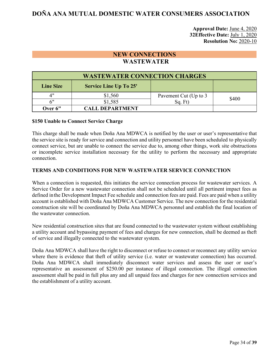**Approval Date:** June 4, 2020 **32Effective Date:** July 1, 2020 **Resolution No:** 2020-10

## **NEW CONNECTIONS WASTEWATER**

<span id="page-34-0"></span>

| <b>WASTEWATER CONNECTION CHARGES</b> |                               |                       |       |  |
|--------------------------------------|-------------------------------|-----------------------|-------|--|
| <b>Line Size</b>                     | <b>Service Line Up To 25'</b> |                       |       |  |
| יי4                                  | \$1,560                       | Pavement Cut (Up to 3 | \$400 |  |
| 6"                                   | \$1,585                       | Sq. Ft)               |       |  |
| Over 6"                              | <b>CALL DEPARTMENT</b>        |                       |       |  |

#### **\$150 Unable to Connect Service Charge**

This charge shall be made when Doña Ana MDWCA is notified by the user or user's representative that the service site is ready for service and connection and utility personnel have been scheduled to physically connect service, but are unable to connect the service due to, among other things, work site obstructions or incomplete service installation necessary for the utility to perform the necessary and appropriate connection.

#### **TERMS AND CONDITIONS FOR NEW WASTEWATER SERVICE CONNECTION**

When a connection is requested, this initiates the service connection process for wastewater services. A Service Order for a new wastewater connection shall not be scheduled until all pertinent impact fees as defined inthe Development Impact Fee schedule and connection fees are paid. Fees are paid when a utility account is established with Doña Ana MDWCA Customer Service. The new connection for the residential construction site will be coordinated by Doña Ana MDWCA personnel and establish the final location of the wastewater connection.

New residential construction sites that are found connected to the wastewater system without establishing a utility account and bypassing payment of fees and charges for new connection, shall be deemed as theft of service and illegally connected to the wastewater system.

Doña Ana MDWCA shall have the right to disconnect or refuse to connect or reconnect any utility service where there is evidence that theft of utility service (i.e. water or wastewater connection) has occurred. Doña Ana MDWCA shall immediately disconnect water services and assess the user or user's representative an assessment of \$250.00 per instance of illegal connection. The illegal connection assessment shall be paid in full plus any and all unpaid fees and charges for new connection services and the establishment of a utility account.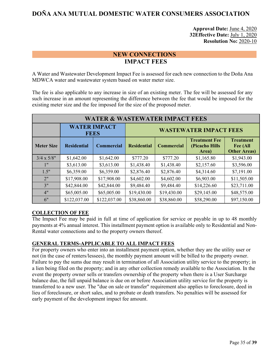## **Approval Date:** June 4, 2020 **32Effective Date:** July 1, 2020 **Resolution No:** 2020-10

## **NEW CONNECTIONS IMPACT FEES**

<span id="page-35-0"></span>A Water and Wastewater Development Impact Fee is assessed for each new connection to the Doña Ana MDWCA water and wastewater system based on water meter size.

The fee is also applicable to any increase in size of an existing meter. The fee will be assessed for any such increase in an amount representing the difference between the fee that would be imposed for the existing meter size and the fee imposed for the size of the proposed meter.

| <b>WATER &amp; WASTEWATER IMPACT FEES</b> |                    |                               |                    |                   |                                                 |                                                     |
|-------------------------------------------|--------------------|-------------------------------|--------------------|-------------------|-------------------------------------------------|-----------------------------------------------------|
| <b>WATER IMPACT</b><br><b>FEES</b>        |                    | <b>WASTEWATER IMPACT FEES</b> |                    |                   |                                                 |                                                     |
| <b>Meter Size</b>                         | <b>Residential</b> | <b>Commercial</b>             | <b>Residential</b> | <b>Commercial</b> | <b>Treatment Fee</b><br>(Picacho Hills<br>Area) | <b>Treatment</b><br>Fee (All<br><b>Other Areas)</b> |
| $3/4 \times 5/8"$                         | \$1,642.00         | \$1,642.00                    | \$777.20           | \$777.20          | \$1,165.80                                      | \$1,943.00                                          |
| 1"                                        | \$3,613.00         | \$3,613.00                    | \$1,438.40         | \$1,438.40        | \$2,157.60                                      | \$3,596.00                                          |
| 1.5"                                      | \$6,359.00         | \$6,359.00                    | \$2,876.40         | \$2,876.40        | \$4,314.60                                      | \$7,191.00                                          |
| 2"                                        | \$17,908.00        | \$17,908.00                   | \$4,602.00         | \$4,602.00        | \$6,903.00                                      | \$11,505.00                                         |
| 3"                                        | \$42,844.00        | \$42,844.00                   | \$9,484.40         | \$9,484.40        | \$14,226.60                                     | \$23,711.00                                         |
| 4"                                        | \$65,005.00        | \$65,005.00                   | \$19,430.00        | \$19,430.00       | \$29,145.00                                     | \$48,575.00                                         |
| 6"                                        | \$122,037.00       | \$122,037.00                  | \$38,860.00        | \$38,860.00       | \$58,290.00                                     | \$97,150.00                                         |

## **COLLECTION OF FEE**

The Impact Fee may be paid in full at time of application for service or payable in up to 48 monthly payments at 4% annual interest. This installment payment option is available only to Residential and Non-Rental water connections and to the property owners thereof.

## **GENERAL TERMS-APPLICABLE TO ALL IMPACT FEES**

For property owners who enter into an installment payment option, whether they are the utility user or not (in the case of renters/lessees), the monthly payment amount will be billed to the property owner. Failure to pay the sums due may result in termination of all Association utility service to the property; in a lien being filed on the property; and in any other collection remedy available to the Association. In the event the property owner sells or transfers ownership of the property when there is a User Surcharge balance due, the full unpaid balance is due on or before Association utility service for the property is transferred to a new user. The "due on sale or transfer" requirement also applies to foreclosure, deed in lieu of foreclosure, or short sales, and to probate or death transfers. No penalties will be assessed for early payment of the development impact fee amount.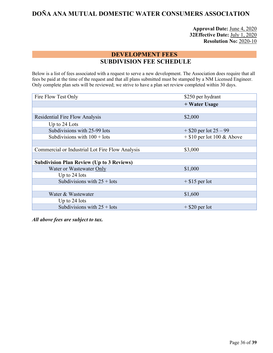**Approval Date:** June 4, 2020 **32Effective Date:** July 1, 2020 **Resolution No:** 2020-10

## **DEVELOPMENT FEES SUBDIVISION FEE SCHEDULE**

<span id="page-36-1"></span><span id="page-36-0"></span>Below is a list of fees associated with a request to serve a new development. The Association does require that all fees be paid at the time of the request and that all plans submitted must be stamped by a NM Licensed Engineer. Only complete plan sets will be reviewed; we strive to have a plan set review completed within 30 days.

| Fire Flow Test Only                              | \$250 per hydrant            |  |
|--------------------------------------------------|------------------------------|--|
|                                                  | + Water Usage                |  |
|                                                  |                              |  |
| <b>Residential Fire Flow Analysis</b>            | \$2,000                      |  |
| Up to 24 Lots                                    |                              |  |
| Subdivisions with 25-99 lots                     | $+$ \$20 per lot 25 – 99     |  |
| Subdivisions with $100 +$ lots                   | $+$ \$10 per lot 100 & Above |  |
|                                                  |                              |  |
| Commercial or Industrial Lot Fire Flow Analysis  | \$3,000                      |  |
|                                                  |                              |  |
| <b>Subdivision Plan Review (Up to 3 Reviews)</b> |                              |  |
| Water or Wastewater Only                         | \$1,000                      |  |
| Up to 24 lots                                    |                              |  |
| Subdivisions with $25 +$ lots                    | $+$ \$15 per lot             |  |
|                                                  |                              |  |
| Water & Wastewater                               | \$1,600                      |  |
| Up to 24 lots                                    |                              |  |
| Subdivisions with $25 +$ lots                    | $+$ \$20 per lot             |  |

*All above fees are subject to tax.*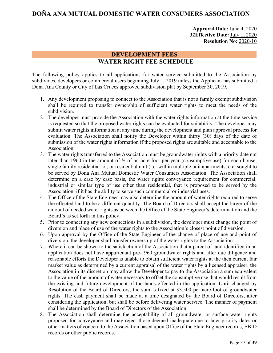## **Approval Date:** June 4, 2020 **32Effective Date:** July 1, 2020 **Resolution No:** 2020-10

## **DEVELOPMENT FEES WATER RIGHT FEE SCHEDULE**

<span id="page-37-0"></span>The following policy applies to all applications for water service submitted to the Association by subdivides, developers or commercial users beginning July 1, 2019 unless the Applicant has submitted a Dona Ana County or City of Las Cruces approved subdivision plat by September 30, 2019.

- 1. Any development proposing to connect to the Association that is not a family exempt subdivision shall be required to transfer ownership of sufficient water rights to meet the needs of the subdivision.
- 2. The developer must provide the Association with the water rights information at the time service is requested so that the proposed water rights can be evaluated for suitability. The developer may submit water rights information at any time during the development and plan approval process for evaluation. The Association shall notify the Developer within thirty (30) days of the date of submission of the water rights information if the proposed rights are suitable and acceptable to the Association.
- 3. The water rights transferred to the Association must be groundwater rights with a priority date not later than 1960 in the amount of  $\frac{1}{2}$  of an acre foot per year (consumptive use) for each house, single family residential lot, or residential unit (i.e. within multiple unit apartments, etc. sought to be served by Dona Ana Mutual Domestic Water Consumers Association The Association shall determine on a case by case basis, the water rights conveyance requirement for commercial, industrial or similar type of use other than residential, that is proposed to be served by the Association, if it has the ability to serve such commercial or industrial uses.
- 4. The Office of the State Engineer may also determine the amount of water rights required to serve the effected land to be a different quantity. The Board of Directors shall accept the larger of the amount of needed water rights as between the Office of the State Engineer's determination and the Board's as set forth in this policy.
- 5. Prior to connecting any new connections in a subdivision, the developer must change the point of diversion and place of use of the water rights to the Association's closest point of diversion.
- 6. Upon approval by the Office of the State Engineer of the change of place of use and point of diversion, the developer shall transfer ownership of the water rights to the Association.
- 7. Where it can be shown to the satisfaction of the Association that a parcel of land identified in an application does not have appurtenant pre-1960 groundwater rights and after due diligence and reasonable efforts the Developer is unable to obtain sufficient water rights at the then current fair market value as determined by a current appraisal of the water rights by a licensed appraiser, the Association in its discretion may allow the Developer to pay to the Association a sum equivalent to the value of the amount of water necessary to offset the consumptive use that would result from the existing and future development of the lands effected in the application. Until changed by Resolution of the Board of Directors, the sum is fixed at \$3,500 per acre-foot of groundwater rights. The cash payment shall be made at a time designated by the Board of Directors, after considering the application, but shall be before delivering water service. The manner of payment shall be determined by the Board of Directors of the Association.
- 8. The Association shall determine the acceptability of all groundwater or surface water rights proposed for conveyance and may reject those deemed inadequate due to later priority dates or other matters of concern to the Association based upon Office of the State Engineer records, EBID records or other public records.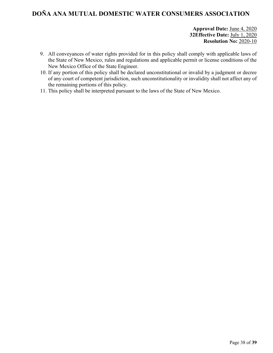**Approval Date:** June 4, 2020 **32Effective Date:** July 1, 2020 **Resolution No:** 2020-10

- 9. All conveyances of water rights provided for in this policy shall comply with applicable laws of the State of New Mexico, rules and regulations and applicable permit or license conditions of the New Mexico Office of the State Engineer.
- 10. If any portion of this policy shall be declared unconstitutional or invalid by a judgment or decree of any court of competent jurisdiction, such unconstitutionality or invalidity shall not affect any of the remaining portions of this policy.
- 11. This policy shall be interpreted pursuant to the laws of the State of New Mexico.